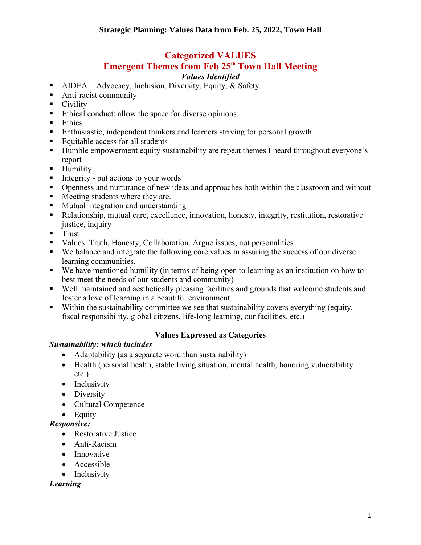## **Categorized VALUES**

# **Emergent Themes from Feb 25<sup>th</sup> Town Hall Meeting**

#### *Values Identified*

- **•** AIDEA = Advocacy, Inclusion, Diversity, Equity, & Safety.
- Anti-racist community
- Civility
- Ethical conduct; allow the space for diverse opinions.
- Ethics
- **Enthusiastic, independent thinkers and learners striving for personal growth**
- Equitable access for all students
- Humble empowerment equity sustainability are repeat themes I heard throughout everyone's report
- Humility
- Integrity put actions to your words
- Openness and nurturance of new ideas and approaches both within the classroom and without
- Meeting students where they are.
- Mutual integration and understanding
- Relationship, mutual care, excellence, innovation, honesty, integrity, restitution, restorative justice, inquiry
- Trust
- Values: Truth, Honesty, Collaboration, Argue issues, not personalities
- We balance and integrate the following core values in assuring the success of our diverse learning communities.
- We have mentioned humility (in terms of being open to learning as an institution on how to best meet the needs of our students and community)
- Well maintained and aesthetically pleasing facilities and grounds that welcome students and foster a love of learning in a beautiful environment.
- Within the sustainability committee we see that sustainability covers everything (equity, fiscal responsibility, global citizens, life-long learning, our facilities, etc.)

## **Values Expressed as Categories**

## *Sustainability: which includes*

- Adaptability (as a separate word than sustainability)
- Health (personal health, stable living situation, mental health, honoring vulnerability etc.)
- Inclusivity
- Diversity
- Cultural Competence
- Equity

## *Responsive:*

- Restorative Justice
- Anti-Racism
- Innovative
- Accessible
- Inclusivity

## *Learning*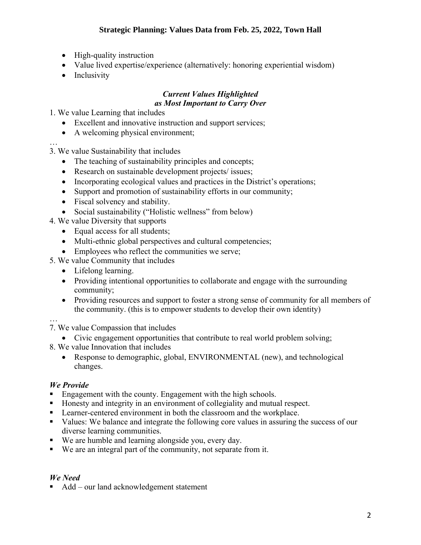- High-quality instruction
- Value lived expertise/experience (alternatively: honoring experiential wisdom)
- Inclusivity

#### *Current Values Highlighted as Most Important to Carry Over*

1. We value Learning that includes

- Excellent and innovative instruction and support services;
- A welcoming physical environment;

…

3. We value Sustainability that includes

- The teaching of sustainability principles and concepts;
- Research on sustainable development projects/ issues;
- Incorporating ecological values and practices in the District's operations;
- Support and promotion of sustainability efforts in our community;
- Fiscal solvency and stability.
- Social sustainability ("Holistic wellness" from below)

4. We value Diversity that supports

- Equal access for all students;
- Multi-ethnic global perspectives and cultural competencies;
- Employees who reflect the communities we serve:
- 5. We value Community that includes
	- Lifelong learning.
	- Providing intentional opportunities to collaborate and engage with the surrounding community;
	- Providing resources and support to foster a strong sense of community for all members of the community. (this is to empower students to develop their own identity)

… 7. We value Compassion that includes

- Civic engagement opportunities that contribute to real world problem solving;
- 8. We value Innovation that includes
	- Response to demographic, global, ENVIRONMENTAL (new), and technological changes.

## *We Provide*

- Engagement with the county. Engagement with the high schools.
- Honesty and integrity in an environment of collegiality and mutual respect.
- Learner-centered environment in both the classroom and the workplace.
- Values: We balance and integrate the following core values in assuring the success of our diverse learning communities.
- We are humble and learning alongside you, every day.
- We are an integral part of the community, not separate from it.

#### *We Need*

■ Add – our land acknowledgement statement